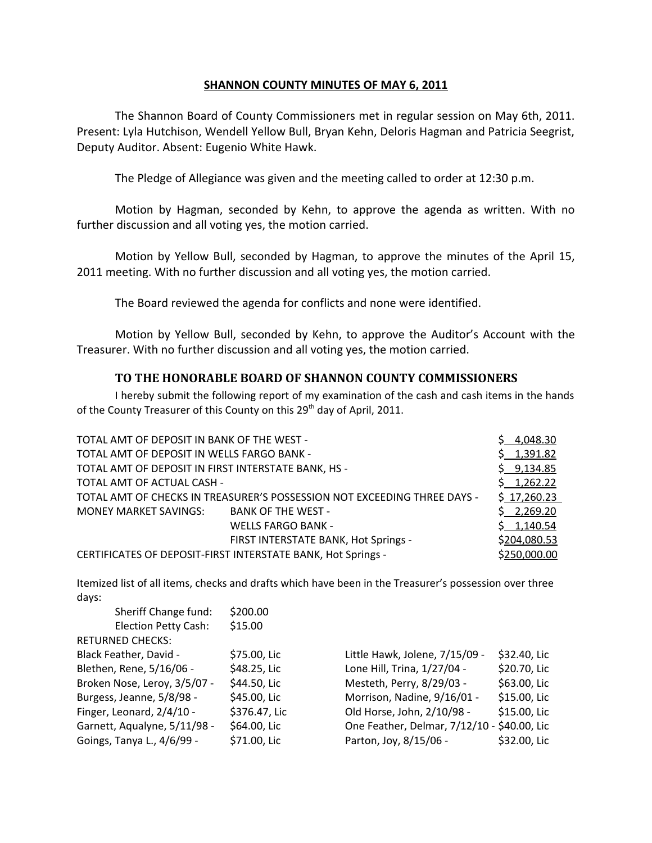# **SHANNON COUNTY MINUTES OF MAY 6, 2011**

The Shannon Board of County Commissioners met in regular session on May 6th, 2011. Present: Lyla Hutchison, Wendell Yellow Bull, Bryan Kehn, Deloris Hagman and Patricia Seegrist, Deputy Auditor. Absent: Eugenio White Hawk.

The Pledge of Allegiance was given and the meeting called to order at 12:30 p.m.

Motion by Hagman, seconded by Kehn, to approve the agenda as written. With no further discussion and all voting yes, the motion carried.

Motion by Yellow Bull, seconded by Hagman, to approve the minutes of the April 15, 2011 meeting. With no further discussion and all voting yes, the motion carried.

The Board reviewed the agenda for conflicts and none were identified.

Motion by Yellow Bull, seconded by Kehn, to approve the Auditor's Account with the Treasurer. With no further discussion and all voting yes, the motion carried.

# **TO THE HONORABLE BOARD OF SHANNON COUNTY COMMISSIONERS**

I hereby submit the following report of my examination of the cash and cash items in the hands of the County Treasurer of this County on this 29<sup>th</sup> day of April, 2011.

| TOTAL AMT OF DEPOSIT IN BANK OF THE WEST -                               |                                                              | \$4,048.30   |
|--------------------------------------------------------------------------|--------------------------------------------------------------|--------------|
| TOTAL AMT OF DEPOSIT IN WELLS FARGO BANK -                               |                                                              | \$1,391.82   |
| TOTAL AMT OF DEPOSIT IN FIRST INTERSTATE BANK, HS -                      |                                                              |              |
| TOTAL AMT OF ACTUAL CASH -                                               |                                                              | \$1,262.22   |
| TOTAL AMT OF CHECKS IN TREASURER'S POSSESSION NOT EXCEEDING THREE DAYS - |                                                              |              |
| MONEY MARKET SAVINGS:                                                    | BANK OF THE WEST -                                           | \$2,269.20   |
|                                                                          | <b>WELLS FARGO BANK -</b>                                    | \$1,140.54   |
|                                                                          | FIRST INTERSTATE BANK, Hot Springs -                         | \$204,080.53 |
|                                                                          | CERTIFICATES OF DEPOSIT-FIRST INTERSTATE BANK, Hot Springs - | \$250,000.00 |

Itemized list of all items, checks and drafts which have been in the Treasurer's possession over three days:

| Sheriff Change fund:         | \$200.00      |                                             |              |
|------------------------------|---------------|---------------------------------------------|--------------|
| <b>Election Petty Cash:</b>  | \$15.00       |                                             |              |
| <b>RETURNED CHECKS:</b>      |               |                                             |              |
| Black Feather, David -       | \$75.00, Lic  | Little Hawk, Jolene, 7/15/09 -              | \$32.40, Lic |
| Blethen, Rene, 5/16/06 -     | \$48.25, Lic  | Lone Hill, Trina, 1/27/04 -                 | \$20.70, Lic |
| Broken Nose, Leroy, 3/5/07 - | \$44.50, Lic  | Mesteth, Perry, 8/29/03 -                   | \$63.00, Lic |
| Burgess, Jeanne, 5/8/98 -    | \$45.00, Lic  | Morrison, Nadine, 9/16/01 -                 | \$15.00, Lic |
| Finger, Leonard, 2/4/10 -    | \$376.47, Lic | Old Horse, John, 2/10/98 -                  | \$15.00, Lic |
| Garnett, Aqualyne, 5/11/98 - | \$64.00, Lic  | One Feather, Delmar, 7/12/10 - \$40.00, Lic |              |
| Goings, Tanya L., 4/6/99 -   | \$71.00, Lic  | Parton, Joy, 8/15/06 -                      | \$32.00, Lic |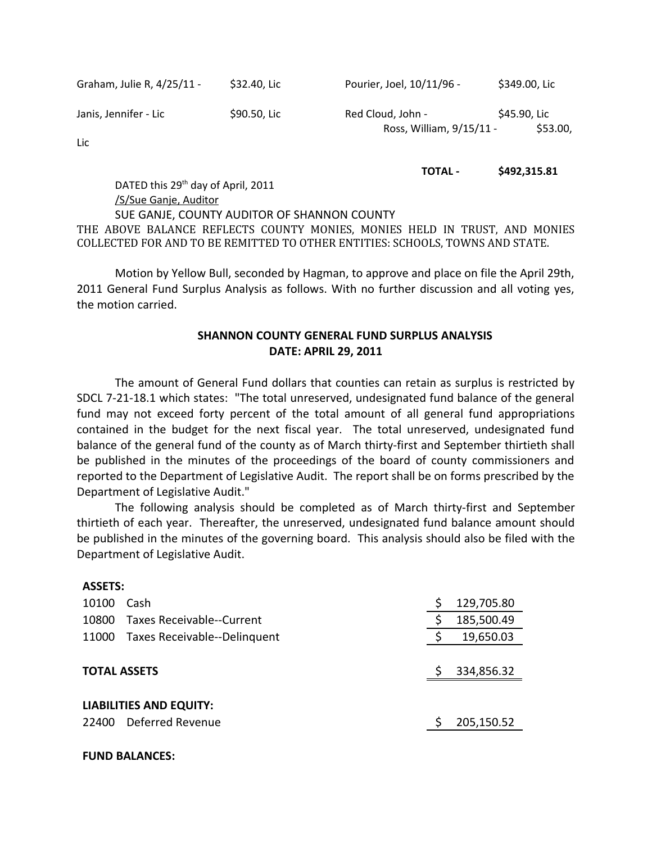| Graham, Julie R, 4/25/11 - | \$32.40, Lio |
|----------------------------|--------------|
|----------------------------|--------------|

ic Pourier, Joel, 10/11/96 - \$349.00, Lic

Janis, Jennifer - Lic **\$90.50, Lic** Red Cloud, John - \$45.90, Lic Red Cloud, John - \$45.90, Lic Ross, William, 9/15/11 - \$53.00,

Lic

#### **TOTAL - \$492,315.81**

DATED this 29<sup>th</sup> day of April, 2011 /S/Sue Ganje, Auditor SUE GANJE, COUNTY AUDITOR OF SHANNON COUNTY THE ABOVE BALANCE REFLECTS COUNTY MONIES, MONIES HELD IN TRUST, AND MONIES COLLECTED FOR AND TO BE REMITTED TO OTHER ENTITIES: SCHOOLS, TOWNS AND STATE.

Motion by Yellow Bull, seconded by Hagman, to approve and place on file the April 29th, 2011 General Fund Surplus Analysis as follows. With no further discussion and all voting yes, the motion carried.

# **SHANNON COUNTY GENERAL FUND SURPLUS ANALYSIS DATE: APRIL 29, 2011**

The amount of General Fund dollars that counties can retain as surplus is restricted by SDCL 7-21-18.1 which states: "The total unreserved, undesignated fund balance of the general fund may not exceed forty percent of the total amount of all general fund appropriations contained in the budget for the next fiscal year. The total unreserved, undesignated fund balance of the general fund of the county as of March thirty-first and September thirtieth shall be published in the minutes of the proceedings of the board of county commissioners and reported to the Department of Legislative Audit. The report shall be on forms prescribed by the Department of Legislative Audit."

The following analysis should be completed as of March thirty-first and September thirtieth of each year. Thereafter, the unreserved, undesignated fund balance amount should be published in the minutes of the governing board. This analysis should also be filed with the Department of Legislative Audit.

#### **ASSETS:**

| 10100                          | Cash                         |  | 129,705.80 |  |
|--------------------------------|------------------------------|--|------------|--|
| 10800                          | Taxes Receivable--Current    |  | 185,500.49 |  |
| 11000                          | Taxes Receivable--Delinguent |  | 19,650.03  |  |
|                                |                              |  |            |  |
| <b>TOTAL ASSETS</b>            |                              |  | 334,856.32 |  |
|                                |                              |  |            |  |
| <b>LIABILITIES AND EQUITY:</b> |                              |  |            |  |
| 22400                          | Deferred Revenue             |  | 205,150.52 |  |

#### **FUND BALANCES:**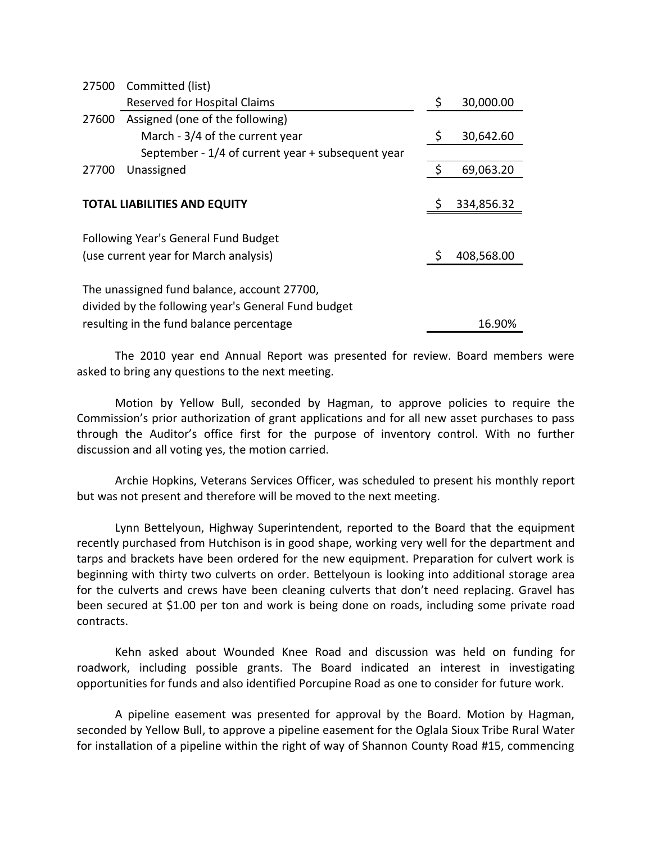| 27500                                    | Committed (list)                                    |                 |
|------------------------------------------|-----------------------------------------------------|-----------------|
|                                          | Reserved for Hospital Claims                        | \$<br>30,000.00 |
| 27600                                    | Assigned (one of the following)                     |                 |
|                                          | March - 3/4 of the current year                     | \$<br>30,642.60 |
|                                          | September - 1/4 of current year + subsequent year   |                 |
| 27700                                    | Unassigned                                          | 69,063.20       |
|                                          |                                                     |                 |
|                                          | <b>TOTAL LIABILITIES AND EQUITY</b>                 | 334,856.32      |
|                                          |                                                     |                 |
|                                          | Following Year's General Fund Budget                |                 |
|                                          | (use current year for March analysis)               | 408,568.00      |
|                                          |                                                     |                 |
|                                          | The unassigned fund balance, account 27700,         |                 |
|                                          | divided by the following year's General Fund budget |                 |
| resulting in the fund balance percentage |                                                     | 16.90%          |

The 2010 year end Annual Report was presented for review. Board members were asked to bring any questions to the next meeting.

Motion by Yellow Bull, seconded by Hagman, to approve policies to require the Commission's prior authorization of grant applications and for all new asset purchases to pass through the Auditor's office first for the purpose of inventory control. With no further discussion and all voting yes, the motion carried.

Archie Hopkins, Veterans Services Officer, was scheduled to present his monthly report but was not present and therefore will be moved to the next meeting.

Lynn Bettelyoun, Highway Superintendent, reported to the Board that the equipment recently purchased from Hutchison is in good shape, working very well for the department and tarps and brackets have been ordered for the new equipment. Preparation for culvert work is beginning with thirty two culverts on order. Bettelyoun is looking into additional storage area for the culverts and crews have been cleaning culverts that don't need replacing. Gravel has been secured at \$1.00 per ton and work is being done on roads, including some private road contracts.

Kehn asked about Wounded Knee Road and discussion was held on funding for roadwork, including possible grants. The Board indicated an interest in investigating opportunities for funds and also identified Porcupine Road as one to consider for future work.

A pipeline easement was presented for approval by the Board. Motion by Hagman, seconded by Yellow Bull, to approve a pipeline easement for the Oglala Sioux Tribe Rural Water for installation of a pipeline within the right of way of Shannon County Road #15, commencing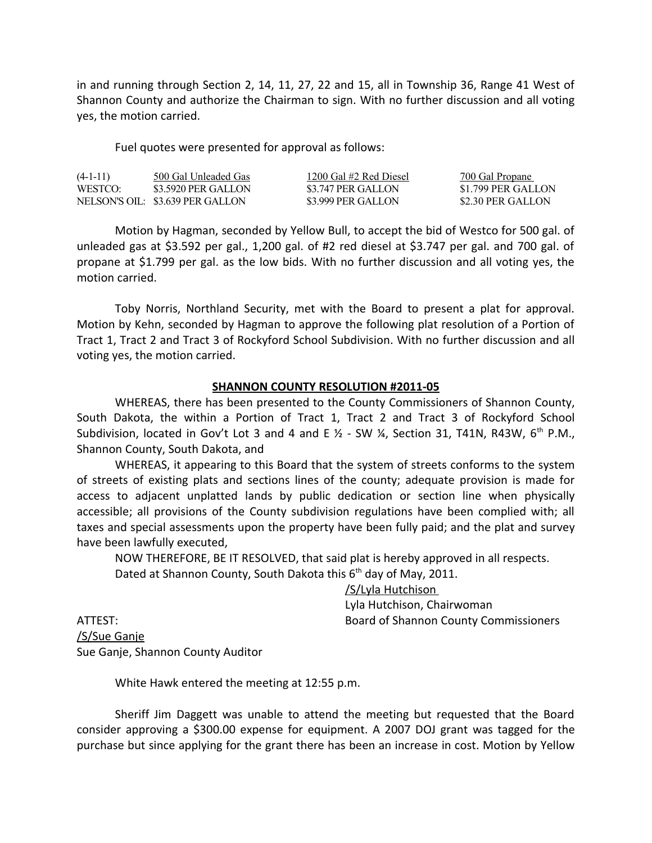in and running through Section 2, 14, 11, 27, 22 and 15, all in Township 36, Range 41 West of Shannon County and authorize the Chairman to sign. With no further discussion and all voting yes, the motion carried.

Fuel quotes were presented for approval as follows:

| $(4-1-11)$ | 500 Gal Unleaded Gas             | 1200 Gal #2 Red Diesel | <u>700 Gal Propane</u> |
|------------|----------------------------------|------------------------|------------------------|
| WESTCO:    | \$3,5920 PER GALLON              | \$3.747 PER GALLON     | \$1.799 PER GALLON     |
|            | NELSON'S OIL: \$3.639 PER GALLON | \$3,999 PER GALLON     | \$2.30 PER GALLON      |

Motion by Hagman, seconded by Yellow Bull, to accept the bid of Westco for 500 gal. of unleaded gas at \$3.592 per gal., 1,200 gal. of #2 red diesel at \$3.747 per gal. and 700 gal. of propane at \$1.799 per gal. as the low bids. With no further discussion and all voting yes, the motion carried.

Toby Norris, Northland Security, met with the Board to present a plat for approval. Motion by Kehn, seconded by Hagman to approve the following plat resolution of a Portion of Tract 1, Tract 2 and Tract 3 of Rockyford School Subdivision. With no further discussion and all voting yes, the motion carried.

## **SHANNON COUNTY RESOLUTION #2011-05**

WHEREAS, there has been presented to the County Commissioners of Shannon County, South Dakota, the within a Portion of Tract 1, Tract 2 and Tract 3 of Rockyford School Subdivision, located in Gov't Lot 3 and 4 and E  $\frac{1}{2}$  - SW  $\frac{1}{4}$ , Section 31, T41N, R43W, 6<sup>th</sup> P.M., Shannon County, South Dakota, and

WHEREAS, it appearing to this Board that the system of streets conforms to the system of streets of existing plats and sections lines of the county; adequate provision is made for access to adjacent unplatted lands by public dedication or section line when physically accessible; all provisions of the County subdivision regulations have been complied with; all taxes and special assessments upon the property have been fully paid; and the plat and survey have been lawfully executed,

NOW THEREFORE, BE IT RESOLVED, that said plat is hereby approved in all respects.

Dated at Shannon County, South Dakota this 6<sup>th</sup> day of May, 2011.

/S/Lyla Hutchison

Lyla Hutchison, Chairwoman ATTEST: Board of Shannon County Commissioners

/S/Sue Ganje Sue Ganje, Shannon County Auditor

White Hawk entered the meeting at 12:55 p.m.

Sheriff Jim Daggett was unable to attend the meeting but requested that the Board consider approving a \$300.00 expense for equipment. A 2007 DOJ grant was tagged for the purchase but since applying for the grant there has been an increase in cost. Motion by Yellow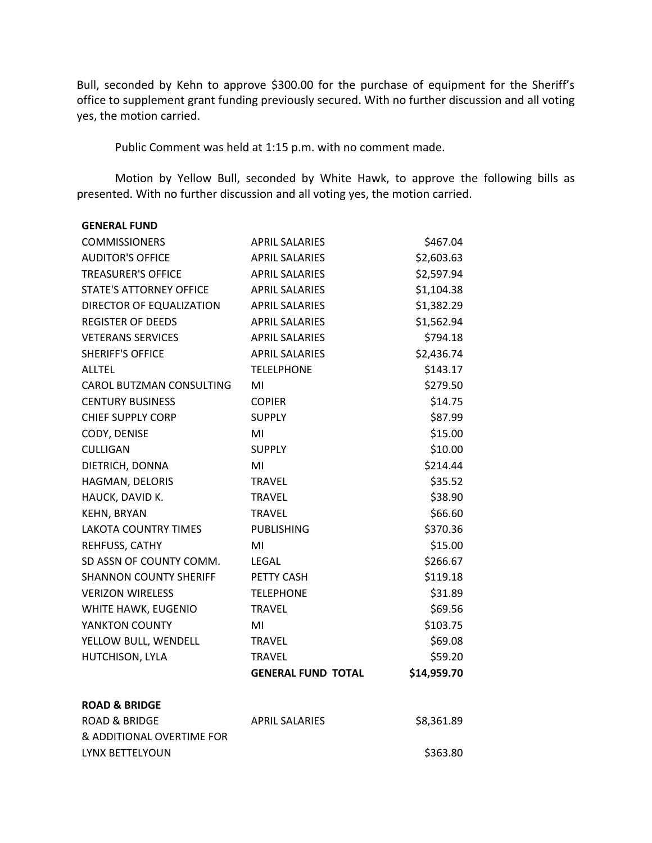Bull, seconded by Kehn to approve \$300.00 for the purchase of equipment for the Sheriff's office to supplement grant funding previously secured. With no further discussion and all voting yes, the motion carried.

Public Comment was held at 1:15 p.m. with no comment made.

Motion by Yellow Bull, seconded by White Hawk, to approve the following bills as presented. With no further discussion and all voting yes, the motion carried.

| <b>GENERAL FUND</b>           |                           |             |
|-------------------------------|---------------------------|-------------|
| <b>COMMISSIONERS</b>          | <b>APRIL SALARIES</b>     | \$467.04    |
| <b>AUDITOR'S OFFICE</b>       | <b>APRIL SALARIES</b>     | \$2,603.63  |
| <b>TREASURER'S OFFICE</b>     | <b>APRIL SALARIES</b>     | \$2,597.94  |
| STATE'S ATTORNEY OFFICE       | <b>APRIL SALARIES</b>     | \$1,104.38  |
| DIRECTOR OF EQUALIZATION      | <b>APRIL SALARIES</b>     | \$1,382.29  |
| <b>REGISTER OF DEEDS</b>      | <b>APRIL SALARIES</b>     | \$1,562.94  |
| <b>VETERANS SERVICES</b>      | <b>APRIL SALARIES</b>     | \$794.18    |
| <b>SHERIFF'S OFFICE</b>       | <b>APRIL SALARIES</b>     | \$2,436.74  |
| <b>ALLTEL</b>                 | <b>TELELPHONE</b>         | \$143.17    |
| CAROL BUTZMAN CONSULTING      | MI                        | \$279.50    |
| <b>CENTURY BUSINESS</b>       | <b>COPIER</b>             | \$14.75     |
| <b>CHIEF SUPPLY CORP</b>      | <b>SUPPLY</b>             | \$87.99     |
| CODY, DENISE                  | MI                        | \$15.00     |
| <b>CULLIGAN</b>               | <b>SUPPLY</b>             | \$10.00     |
| DIETRICH, DONNA               | MI                        | \$214.44    |
| HAGMAN, DELORIS               | <b>TRAVEL</b>             | \$35.52     |
| HAUCK, DAVID K.               | <b>TRAVEL</b>             | \$38.90     |
| <b>KEHN, BRYAN</b>            | <b>TRAVEL</b>             | \$66.60     |
| <b>LAKOTA COUNTRY TIMES</b>   | <b>PUBLISHING</b>         | \$370.36    |
| REHFUSS, CATHY                | MI                        | \$15.00     |
| SD ASSN OF COUNTY COMM.       | LEGAL                     | \$266.67    |
| <b>SHANNON COUNTY SHERIFF</b> | PETTY CASH                | \$119.18    |
| <b>VERIZON WIRELESS</b>       | <b>TELEPHONE</b>          | \$31.89     |
| WHITE HAWK, EUGENIO           | <b>TRAVEL</b>             | \$69.56     |
| YANKTON COUNTY                | MI                        | \$103.75    |
| YELLOW BULL, WENDELL          | <b>TRAVEL</b>             | \$69.08     |
| HUTCHISON, LYLA               | <b>TRAVEL</b>             | \$59.20     |
|                               | <b>GENERAL FUND TOTAL</b> | \$14,959.70 |
| <b>ROAD &amp; BRIDGE</b>      |                           |             |
| <b>ROAD &amp; BRIDGE</b>      | <b>APRIL SALARIES</b>     | \$8,361.89  |
| & ADDITIONAL OVERTIME FOR     |                           |             |
| LYNX BETTELYOUN               |                           | \$363.80    |